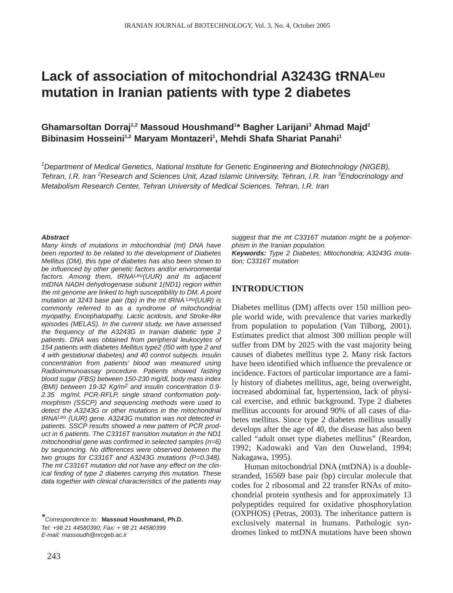# **Lack of association of mitochondrial A3243G tRNALeu mutation in Iranian patients with type 2 diabetes**

**Ghamarsoltan Dorraj1,2 Massoud Houshmand1 \* Bagher Larijani3 Ahmad Majd2** Bibinasim Hosseini<sup>1,2</sup> Maryam Montazeri<sup>1</sup>, Mehdi Shafa Shariat Panahi<sup>1</sup>

*1 Department of Medical Genetics, National Institute for Genetic Engineering and Biotechnology (NIGEB), Tehran, I.R. Iran <sup>2</sup> Research and Sciences Unit, Azad Islamic University, Tehran, I.R. Iran <sup>3</sup> Endocrinology and Metabolism Research Center, Tehran University of Medical Sciences. Tehran, I.R. Iran*

#### *Abstract*

*Many kinds of mutations in mitochondrial (mt) DNA have been reported to be related to the development of Diabetes Mellitus (DM), this type of diabetes has also been shown to be influenced by other genetic factors and/or environmental factors. Among them, tRNALeu(UUR) and its adjacent mtDNA NADH dehydrogenase subunit 1(ND1) region within the mt genome are linked to high susceptibility to DM. A point mutation at 3243 base pair (bp) in the mt tRNA Leu(UUR) is commonly referred to as a syndrome of mitochondrial myopathy, Encephalopathy, Lactic acidosis, and Stroke-like episodes (MELAS). In the current study, we have assessed the frequency of the A3243G in Iranian diabetic type 2 patients. DNA was obtained from peripheral leukocytes of 154 patients with diabetes Mellitus type2 (l50 with type 2 and 4 with gestational diabetes) and 40 control subjects. Insulin concentration from patients' blood was measured using Radioimmunoassay procedure. Patients showed fasting blood sugar (FBS) between 150-230 mg/dl, body mass index (BMI) between 19-32 Kg/m2 and insulin concentration 0.9- 2.35 mg/ml. PCR-RFLP, single strand conformation polymorphism (SSCP) and sequencing methods were used to detect the A3243G or other mutations in the mitochondrial tRNALeu (UUR) gene. A3243G mutation was not detected in patients. SSCP results showed a new pattern of PCR product in 6 patients. The C3316T transition mutation in the ND1 mitochondrial gene was confirmed in selected samples (n=6) by sequencing. No differences were observed between the two groups for C3316T and A3243G mutations (P=0.348). The mt C3316T mutation did not have any effect on the clinical finding of type 2 diabetes carrying this mutation. These data together with clinical characteristics of the patients may*

243

*suggest that the mt C3316T mutation might be a polymorphism in the Iranian population. Keywords: Type 2 Diabetes; Mitochondria; A3243G mutation; C3316T mutation* 

# **INTRODUCTION**

Diabetes mellitus (DM) affects over 150 million people world wide, with prevalence that varies markedly from population to population (Van Tilborg, 2001). Estimates predict that almost 300 million people will suffer from DM by 2025 with the vast majority being causes of diabetes mellitus type 2. Many risk factors have been identified which influence the prevalence or incidence. Factors of particular importance are a family history of diabetes mellitus, age, being overweight, increased abdominal fat, hypertension, lack of physical exercise, and ethnic background. Type 2 diabetes mellitus accounts for around 90% of all cases of diabetes mellitus. Since type 2 diabetes mellitus usually develops after the age of 40, the disease has also been called "adult onset type diabetes mellitus" (Reardon, 1992; Kadowaki and Van den Ouweland, 1994; Nakagawa, 1995).

Human mitochondrial DNA (mtDNA) is a doublestranded, 16569 base pair (bp) circular molecule that codes for 2 ribosomal and 22 transfer RNAs of mitochondrial protein synthesis and for approximately 13 polypeptides required for oxidative phosphorylation (OXPHOS) (Petras, 2003). The inheritance pattern is exclusively maternal in humans. Pathologic syndromes linked to mtDNA mutations have been shown

*<sup>\*</sup>Correspondence to:* **Massoud Houshmand, Ph.D.** *Tel: +98 21 44580390; Fax: + 98 21 44580399 E-mail: massoudh@nrcgeb.ac.ir*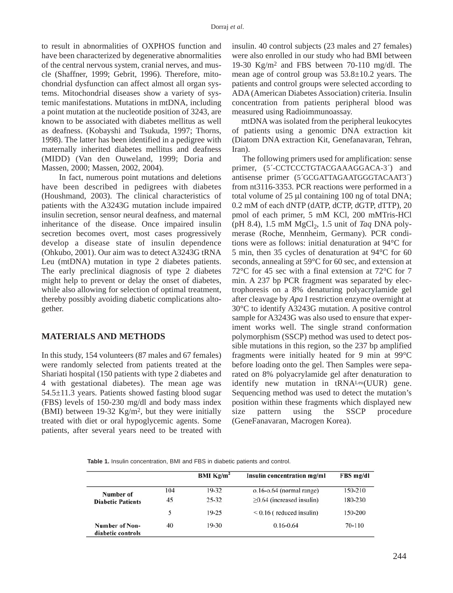to result in abnormalities of OXPHOS function and have been characterized by degenerative abnormalities of the central nervous system, cranial nerves, and muscle (Shaffner, 1999; Gebrit, 1996). Therefore, mitochondrial dysfunction can affect almost all organ systems. Mitochondrial diseases show a variety of systemic manifestations. Mutations in mtDNA, including a point mutation at the nucleotide position of 3243, are known to be associated with diabetes mellitus as well as deafness. (Kobayshi and Tsukuda, 1997; Thorns, 1998). The latter has been identified in a pedigree with maternally inherited diabetes mellitus and deafness (MIDD) (Van den Ouweland, 1999; Doria and Massen, 2000; Massen, 2002, 2004).

In fact, numerous point mutations and deletions have been described in pedigrees with diabetes (Houshmand, 2003). The clinical characteristics of patients with the A3243G mutation include impaired insulin secretion, sensor neural deafness, and maternal inheritance of the disease. Once impaired insulin secretion becomes overt, most cases progressively develop a disease state of insulin dependence (Ohkubo, 2001). Our aim was to detect A3243G tRNA Leu (mtDNA) mutation in type 2 diabetes patients. The early preclinical diagnosis of type 2 diabetes might help to prevent or delay the onset of diabetes, while also allowing for selection of optimal treatment, thereby possibly avoiding diabetic complications altogether.

# **MATERIALS AND METHODS**

In this study, 154 volunteers (87 males and 67 females) were randomly selected from patients treated at the Shariati hospital (150 patients with type 2 diabetes and 4 with gestational diabetes). The mean age was 54.5±11.3 years. Patients showed fasting blood sugar (FBS) levels of 150-230 mg/dl and body mass index (BMI) between 19-32 Kg/m2, but they were initially treated with diet or oral hypoglycemic agents. Some patients, after several years need to be treated with insulin. 40 control subjects (23 males and 27 females) were also enrolled in our study who had BMI between 19-30 Kg/m2 and FBS between 70-110 mg/dl. The mean age of control group was 53.8±10.2 years. The patients and control groups were selected according to ADA (American Diabetes Association) criteria. Insulin concentration from patients peripheral blood was measured using Radioimmunoassay.

mtDNA was isolated from the peripheral leukocytes of patients using a genomic DNA extraction kit (Diatom DNA extraction Kit, Genefanavaran, Tehran, Iran).

The following primers used for amplification: sense primer, (5*´*-CCTCCCTGTACGAAAGGACA-3*´*) and antisense primer (5*´*GCGATTAGAATGGGTACAAT3*´*) from nt3116-3353. PCR reactions were performed in a total volume of 25 µl containing 100 ng of total DNA; 0.2 mM of each dNTP (dATP, dCTP, dGTP, dTTP), 20 pmol of each primer, 5 mM KCl, 200 mMTris-HCl (pH 8.4), 1.5 mM MgCl<sub>2</sub>, 1.5 unit of *Taq* DNA polymerase (Roche, Mennheim, Germany). PCR conditions were as follows: initial denaturation at 94°C for 5 min, then 35 cycles of denaturation at 94°C for 60 seconds, annealing at 59°C for 60 sec, and extension at 72°C for 45 sec with a final extension at 72°C for 7 min. A 237 bp PCR fragment was separated by electrophoresis on a 8% denaturing polyacrylamide gel after cleavage by *Apa* I restriction enzyme overnight at 30°C to identify A3243G mutation. A positive control sample for A3243G was also used to ensure that experiment works well. The single strand conformation polymorphism (SSCP) method was used to detect possible mutations in this region, so the 237 bp amplified fragments were initially heated for 9 min at 99°C before loading onto the gel. Then Samples were separated on 8% polyacrylamide gel after denaturation to identify new mutation in tRNALeu(UUR) gene. Sequencing method was used to detect the mutation's position within these fragments which displayed new size pattern using the SSCP procedure (GeneFanavaran, Macrogen Korea).

**Table 1.** Insulin concentration, BMI and FBS in diabetic patients and control.

|                                     |     | <b>BMI</b> $\text{Kg/m}^2$ | Insulin concentration mg/ml     | FBS mg/dl  |
|-------------------------------------|-----|----------------------------|---------------------------------|------------|
| Number of                           | 104 | $19-32$                    | $o.16-o.64$ (normal range)      | 150-210    |
| <b>Diabetic Patients</b>            | 45  | $25 - 32$                  | $\geq$ 0.64 (increased insulin) | 180-230    |
|                                     | 5   | $19 - 25$                  | $< 0.16$ (reduced insulin)      | 150-200    |
| Number of Non-<br>diabetic controls | 40  | $19-30$                    | $0.16 - 0.64$                   | $70 - 110$ |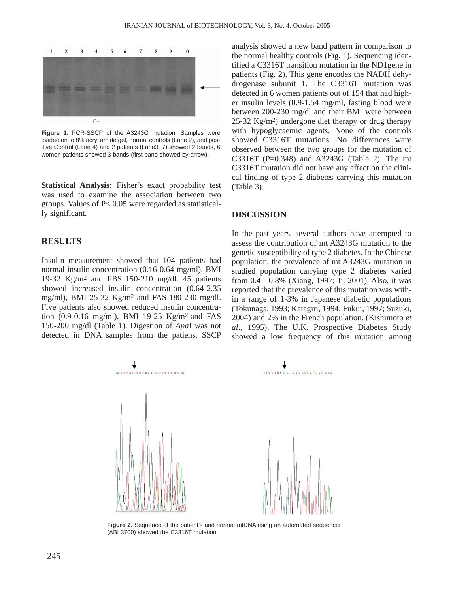

**Figure 1.** PCR-SSCP of the A3243G mutation. Samples were loaded on to 8% acryl amide gel, normal controls (Lane 2), and positive Control (Lane 4) and 2 patients (Lane3, 7) showed 2 bands, 6 women patients showed 3 bands (first band showed by arrow).

**Statistical Analysis:** Fisher's exact probability test was used to examine the association between two groups. Values of P< 0.05 were regarded as statistically significant.

## **RESULTS**

Insulin measurement showed that 104 patients had normal insulin concentration (0.16-0.64 mg/ml), BMI 19-32 Kg/m2 and FBS 150-210 mg/dl. 45 patients showed increased insulin concentration (0.64-2.35 mg/ml), BMI 25-32 Kg/m2 and FAS 180-230 mg/dl. Five patients also showed reduced insulin concentration (0.9-0.16 mg/ml), BMI 19-25 Kg/m2 and FAS 150-200 mg/dl (Table 1). Digestion of *Apa*I was not detected in DNA samples from the patiens. SSCP analysis showed a new band pattern in comparison to the normal healthy controls (Fig. 1). Sequencing identified a C3316T transition mutation in the ND1gene in patients (Fig. 2). This gene encodes the NADH dehydrogenase subunit 1. The C3316T mutation was detected in 6 women patients out of 154 that had higher insulin levels (0.9-1.54 mg/ml, fasting blood were between 200-230 mg/dl and their BMI were between 25-32 Kg/m2) undergone diet therapy or drug therapy with hypoglycaemic agents. None of the controls showed C3316T mutations. No differences were observed between the two groups for the mutation of C3316T (P=0.348) and A3243G (Table 2). The mt C3316T mutation did not have any effect on the clinical finding of type 2 diabetes carrying this mutation (Table 3).

## **DISCUSSION**

In the past years, several authors have attempted to assess the contribution of mt A3243G mutation to the genetic susceptibility of type 2 diabetes. In the Chinese population, the prevalence of mt A3243G mutation in studied population carrying type 2 diabetes varied from 0.4 - 0.8% (Xiang, 1997; Ji, 2001). Also, it was reported that the prevalence of this mutation was within a range of 1-3% in Japanese diabetic populations (Tokunaga, 1993; Katagiri, 1994; Fukui, 1997; Suzuki, 2004) and 2% in the French population. (Kishimoto *et al*., 1995). The U.K. Prospective Diabetes Study showed a low frequency of this mutation among



**Figure 2.** Sequence of the patient's and normal mtDNA using an automated sequencer (ABI 3700) showed the C3316T mutation.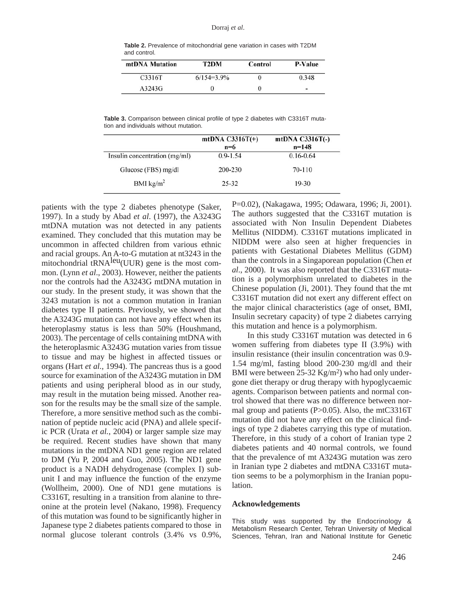#### Dorraj *et al*.

| Table 2. Prevalence of mitochondrial gene variation in cases with T2DM |  |
|------------------------------------------------------------------------|--|
| and control.                                                           |  |
|                                                                        |  |

| mtDNA Mutation | T2DM          | Control | P-Value |
|----------------|---------------|---------|---------|
| C3316T         | $6/154=3.9\%$ |         | 0.348   |
| A3243G         |               |         | ۰       |

**Table 3.** Comparison between clinical profile of type 2 diabetes with C3316T mutation and individuals without mutation.

|                               | mtDNA $C3316T(+)$<br>$n=6$ | mtDNA $C3316T(-)$<br>$n=148$ |
|-------------------------------|----------------------------|------------------------------|
| Insulin concentration (mg/ml) | $0.9 - 1.54$               | $0.16 - 0.64$                |
| Glucose (FBS) mg/dl           | 200-230                    | 70-110                       |
| BMI $\text{kg/m}^2$           | $25 - 32$                  | $19 - 30$                    |

patients with the type 2 diabetes phenotype (Saker, 1997). In a study by Abad *et al*. (1997), the A3243G mtDNA mutation was not detected in any patients examined. They concluded that this mutation may be uncommon in affected children from various ethnic and racial groups. An A-to-G mutation at nt3243 in the mitochondrial  $tRNA$ <sup>leu</sup>(UUR) gene is the most common. (Lynn *et al*., 2003). However, neither the patients nor the controls had the A3243G mtDNA mutation in our study. In the present study, it was shown that the 3243 mutation is not a common mutation in Iranian diabetes type II patients. Previously, we showed that the A3243G mutation can not have any effect when its heteroplasmy status is less than 50% (Houshmand, 2003). The percentage of cells containing mtDNA with the heteroplasmic A3243G mutation varies from tissue to tissue and may be highest in affected tissues or organs (Hart *et al.,* 1994). The pancreas thus is a good source for examination of the A3243G mutation in DM patients and using peripheral blood as in our study, may result in the mutation being missed. Another reason for the results may be the small size of the sample. Therefore, a more sensitive method such as the combination of peptide nucleic acid (PNA) and allele specific PCR (Urata *et al.*, 2004) or larger sample size may be required. Recent studies have shown that many mutations in the mtDNA ND1 gene region are related to DM (Yu P, 2004 and Guo, 2005). The ND1 gene product is a NADH dehydrogenase (complex I) subunit I and may influence the function of the enzyme (Wollheim, 2000). One of ND1 gene mutations is C3316T, resulting in a transition from alanine to threonine at the protein level (Nakano, 1998). Frequency of this mutation was found to be significantly higher in Japanese type 2 diabetes patients compared to those in normal glucose tolerant controls (3.4% vs 0.9%,

P=0.02), (Nakagawa, 1995; Odawara, 1996; Ji, 2001). The authors suggested that the C3316T mutation is associated with Non Insulin Dependent Diabetes Mellitus (NIDDM). C3316T mutations implicated in NIDDM were also seen at higher frequencies in patients with Gestational Diabetes Mellitus (GDM) than the controls in a Singaporean population (Chen *et al*., 2000). It was also reported that the C3316T mutation is a polymorphism unrelated to diabetes in the Chinese population (Ji, 2001). They found that the mt C3316T mutation did not exert any different effect on the major clinical characteristics (age of onset, BMI, Insulin secretary capacity) of type 2 diabetes carrying this mutation and hence is a polymorphism.

In this study C3316T mutation was detected in 6 women suffering from diabetes type II (3.9%) with insulin resistance (their insulin concentration was 0.9- 1.54 mg/ml, fasting blood 200-230 mg/dl and their BMI were between  $25-32$  Kg/m<sup>2</sup>) who had only undergone diet therapy or drug therapy with hypoglycaemic agents. Comparison between patients and normal control showed that there was no difference between normal group and patients (P>0.05). Also, the mtC3316T mutation did not have any effect on the clinical findings of type 2 diabetes carrying this type of mutation. Therefore, in this study of a cohort of Iranian type 2 diabetes patients and 40 normal controls, we found that the prevalence of mt A3243G mutation was zero in Iranian type 2 diabetes and mtDNA C3316T mutation seems to be a polymorphism in the Iranian population.

## **Acknowledgements**

This study was supported by the Endocrinology & Metabolism Research Center, Tehran University of Medical Sciences, Tehran, Iran and National Institute for Genetic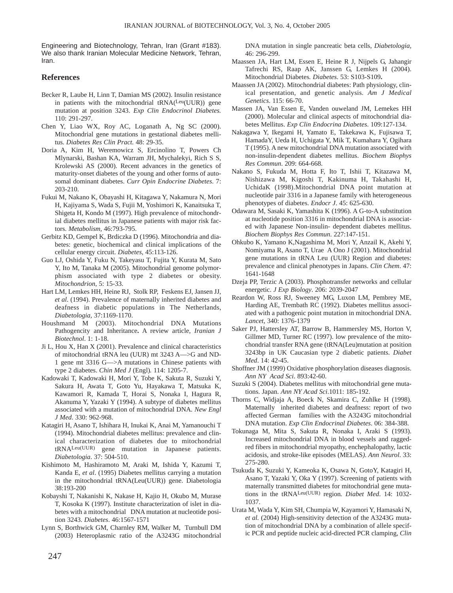Engineering and Biotechnology, Tehran, Iran (Grant #183). We also thank Iranian Molecular Medicine Network, Tehran, Iran.

## **References**

- Becker R, Laube H, Linn T, Damian MS (2002). Insulin resistance in patients with the mitochondrial tRNA(Leu(UUR)) gene mutation at position 3243. *Exp Clin Endocrinol Diabetes.* 110: 291-297.
- Chen Y, Liao WX, Roy AC, Loganath A, Ng SC (2000). Mitochondrial gene mutations in gestational diabetes mellitus*. Diabetes Res Clin Pract.* 48: 29-35.
- Doria A, Kim H, Weremowicz S, Ercinolino T, Powers Ch Mlynarski, Bashan KA, Warram JH, Mychalekyi, Rich S S, Krolewski AS (2000). Recent advances in the genetics of maturity-onset diabetes of the young and other forms of autosomal dominant diabetes. *Curr Opin Endocrine Diabetes*. 7: 203-210.
- Fukui M, Nakano K, Obayashi H, Kitagawa Y, Nakamura N, Mori H, Kajiyama S, Wada S, Fujii M, Yoshimori K, Kanaitsuka T, Shigeta H, Kondo M (1997). High prevalence of mitochondrial diabetes mellitus in Japanese patients with major risk factors. *Metabolism,* 46:793-795.
- Gerbitz KD, Gempel K, Brdiczka D (1996). Mitochondria and diabetes: genetic, biochemical and clinical implications of the cellular energy circuit. *Diabetes*, 45:113-126.
- Guo LJ, Oshida Y, Fuku N, Takeyasu T, Fujita Y, Kurata M, Sato Y, Ito M, Tanaka M (2005). Mitochondrial genome polymorphism associated with type 2 diabetes or obesity. *Mitochondrion*, 5: 15-33.
- Hart LM, Lemkes HH, Heine RJ, Stolk RP, Feskens EJ, Jansen JJ, *et al*. (1994). Prevalence of maternally inherited diabetes and deafness in diabetic populations in The Netherlands, *Diabetologia,* 37:1169-1170.
- Houshmand M (2003). Mitochondrial DNA Mutations Pathogencity and Inheritance**.** A review article, *Iranian J Biotechnol*. 1: 1-18.
- Ji L, Hou X, Han X (2001). Prevalence and clinical characteristics of mitochondrial tRNA leu (UUR) mt 3243 A—>G and ND-1 gene mt 3316 G—>A mutations in Chinese patients with type 2 diabetes. *Chin Med J* (Engl)*.* 114: 1205-7.
- Kadowaki T, Kadowaki H, Mori Y, Tobe K, Sakuta R, Suzuki Y, Sakura H, Awata T, Goto Yu, Hayakawa T, Matsuka K, Kawamori R, Kamada T, Horai S, Nonaka I, Hagura R, Akanuma Y, Yazaki Y (1994). A subtype of diabetes mellitus associated with a mutation of mitochondrial DNA*. New Engl J Med*. 330: 962-968.
- Katagiri H, Asano T, Ishihara H, Inukai K, Anai M, Yamanouchi T (1994). Mitochondrial diabetes mellitus: prevalence and clinical characterization of diabetes due to mitochondrial tRNALeu(UUR) gene mutation in Japanese patients. *Diabetologia*. 37: 504-510.
- Kishimoto M, Hashiramoto M, Araki M, Ishida Y, Kazumi T, Kanda E, *et al*. (1995) Diabetes mellitus carrying a mutation in the mitochondrial tRNA(Leu(UUR)) gene. Diabetologia 38:193-200
- Kobayshi T, Nakanishi K, Nakase H, Kajio H, Okubo M, Murase T, Kosoka K (1997). Institute characterization of islet in diabetes with a mitochondrial DNA mutation at nucleotide position 3243. *Diabetes*. 46:1567-1571
- Lynn S, Borthwick GM, Charnley RM, Walker M, Turnbull DM (2003) Heteroplasmic ratio of the A3243G mitochondrial

DNA mutation in single pancreatic beta cells, *Diabetologia,* 46: 296-299.

- Maassen JA, Hart LM, Essen E, Heine R J, Nijpels G, Jahangir Tafrechi RS, Raap AK, Janssen G, Lemkes H (2004). Mitochondrial Diabetes*. Diabetes*. 53: S103-S109**.**
- Maassen JA (2002). Mitochondrial diabetes: Path physiology, clinical presentation, and genetic analysis. *Am J Medical Genetics*. 115: 66-70.
- Massen JA, Van Essen E, Vanden ouweland JM, Lemekes HH (2000). Molecular and clinical aspects of mitochondrial diabetes Mellitus. *Exp Clin Endocrina Diabetes*. 109:127-134.
- Nakagawa Y, Ikegami H, Yamato E, Takekawa K, Fujisawa T, HamadaY, Ueda H, Uchigata Y, Mik T, Kumahara Y, Ogihara T (1995). A new mitochondrial DNA mutation associated with non-insulin-dependent diabetes mellitus. *Biochem Biophys Res Commun*. 209: 664-668.
- Nakano S, Fukuda M, Hotta F, Ito T, Ishii T, Kitazawa M, Nishizawa M, Kigoshi T, Kakinuma H, Takahashi H, UchidaK (1998).Mitochondrial DNA point mutation at nucleotide pair 3316 in a Japanese family with heterogeneous phenotypes of diabetes. *Endocr J*. 45: 625-630.
- Odawara M, Sasaki K, Yamashita K (1996). A G-to-A substitution at nucleotide position 3316 in mitochondrial DNA is associated with Japanese Non-insulin- dependent diabetes mellitus. *Biochem Biophys Res Commun*. 227:147-151.
- Ohkubo K, Yamano K,Nagashima M, Mori Y, Anzail K, Akehi Y, Nomiyama R, Asano T, Urae A Ono J (2001). Mitochondrial gene mutations in tRNA Leu (UUR) Region and diabetes: prevalence and clinical phenotypes in Japans. *Clin Chem*. 47: 1641-1648
- Dzeja PP, Terzic A (2003). Phosphotransfer networks and cellular energetic. *J Exp Biology*. 206: 2039-2047
- Reardon W, Ross RJ, Sweeney MG, Luxon LM, Pembrey ME, Harding AE, Trembath RC (1992). Diabetes mellitus associated with a pathogenic point mutation in mitochondrial DNA. *Lancet*, 340: 1376-1379
- Saker PJ, Hattersley AT, Barrow B, Hammersley MS, Horton V, Gillmer MD, Turner RC (1997). low prevalence of the mitochondrial transfer RNA gene (tRNA(Leu)mutation at position 3243bp in UK Caucasian type 2 diabetic patients. *Diabet Med*. 14: 42-45.
- Shoffner JM (1999) Oxidative phosphorylation diseases diagnosis. *Ann NY Acad Sci*. 893:42-60.
- Suzuki S (2004). Diabetes mellitus with mitochondrial gene mutations. Japan. *Ann NY Acad Sci*.1011: 185-192.
- Thorns C, Widjaja A, Boeck N, Skamira C, Zuhlke H (1998). Maternally inherited diabetes and deafness: report of two affected German families with the A3243G mitochondrial DNA mutation. *Exp Clin Endocrinal Diabetes*. 06: 384-388.
- Tokunaga M, Mita S, Sakuta R, Nonaka I, Araki S (1993). Increased mitochondrial DNA in blood vessels and raggedred fibers in mitochondrial myopathy, enchephalopathy, lactic acidosis, and stroke-like episodes (MELAS*). Ann Neurol*. 33: 275-280.
- Tsukuda K, Suzuki Y, Kameoka K, Osawa N, GotoY, Katagiri H, Asano T, Yazaki Y, Oka Y (1997). Screening of patients with maternally transmitted diabetes for mitochondrial gene mutations in the tRNALeu(UUR) region*. Diabet Med*. 14: 1032- 1037.
- Urata M, Wada Y, Kim SH, Chumpia W, Kayamori Y, Hamasaki N, *et al.* (2004) High-sensitivity detection of the A3243G mutation of mitochondrial DNA by a combination of allele specific PCR and peptide nucleic acid-directed PCR clamping, *Clin*